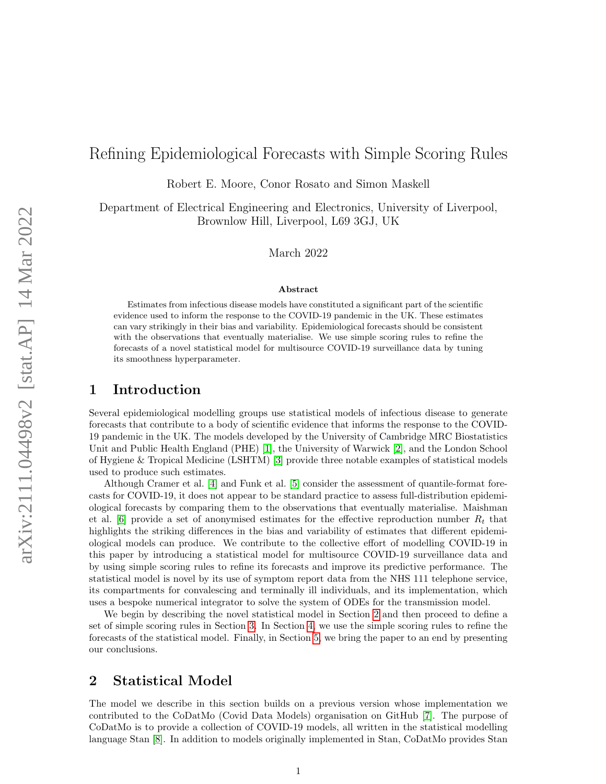# Refining Epidemiological Forecasts with Simple Scoring Rules

Robert E. Moore, Conor Rosato and Simon Maskell

Department of Electrical Engineering and Electronics, University of Liverpool, Brownlow Hill, Liverpool, L69 3GJ, UK

March 2022

#### Abstract

Estimates from infectious disease models have constituted a significant part of the scientific evidence used to inform the response to the COVID-19 pandemic in the UK. These estimates can vary strikingly in their bias and variability. Epidemiological forecasts should be consistent with the observations that eventually materialise. We use simple scoring rules to refine the forecasts of a novel statistical model for multisource COVID-19 surveillance data by tuning its smoothness hyperparameter.

### 1 Introduction

Several epidemiological modelling groups use statistical models of infectious disease to generate forecasts that contribute to a body of scientific evidence that informs the response to the COVID-19 pandemic in the UK. The models developed by the University of Cambridge MRC Biostatistics Unit and Public Health England (PHE) [\[1\]](#page-11-0), the University of Warwick [\[2\]](#page-11-1), and the London School of Hygiene & Tropical Medicine (LSHTM) [\[3\]](#page-11-2) provide three notable examples of statistical models used to produce such estimates.

Although Cramer et al. [\[4\]](#page-11-3) and Funk et al. [\[5\]](#page-12-0) consider the assessment of quantile-format forecasts for COVID-19, it does not appear to be standard practice to assess full-distribution epidemiological forecasts by comparing them to the observations that eventually materialise. Maishman et al. [\[6\]](#page-12-1) provide a set of anonymised estimates for the effective reproduction number  $R_t$  that highlights the striking differences in the bias and variability of estimates that different epidemiological models can produce. We contribute to the collective effort of modelling COVID-19 in this paper by introducing a statistical model for multisource COVID-19 surveillance data and by using simple scoring rules to refine its forecasts and improve its predictive performance. The statistical model is novel by its use of symptom report data from the NHS 111 telephone service, its compartments for convalescing and terminally ill individuals, and its implementation, which uses a bespoke numerical integrator to solve the system of ODEs for the transmission model.

We begin by describing the novel statistical model in Section [2](#page-0-0) and then proceed to define a set of simple scoring rules in Section [3.](#page-5-0) In Section [4,](#page-7-0) we use the simple scoring rules to refine the forecasts of the statistical model. Finally, in Section [5,](#page-9-0) we bring the paper to an end by presenting our conclusions.

## <span id="page-0-0"></span>2 Statistical Model

The model we describe in this section builds on a previous version whose implementation we contributed to the CoDatMo (Covid Data Models) organisation on GitHub [\[7\]](#page-12-2). The purpose of CoDatMo is to provide a collection of COVID-19 models, all written in the statistical modelling language Stan [\[8\]](#page-12-3). In addition to models originally implemented in Stan, CoDatMo provides Stan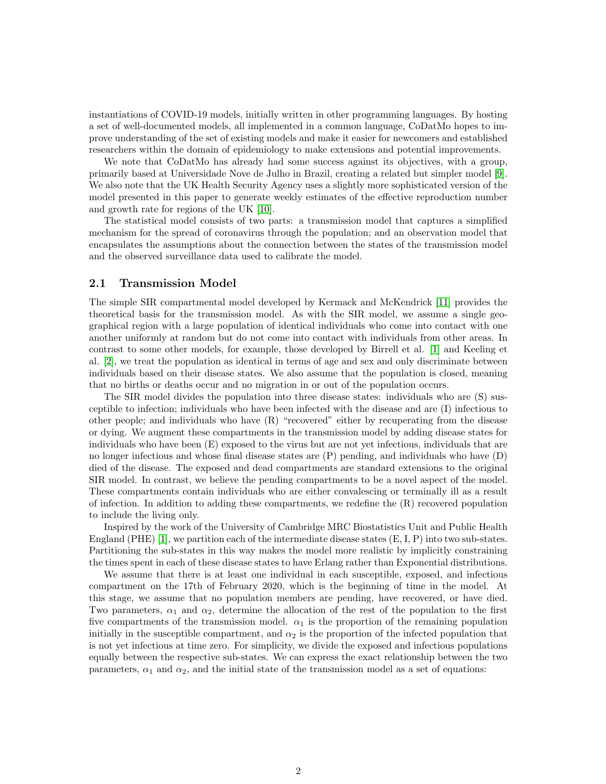instantiations of COVID-19 models, initially written in other programming languages. By hosting a set of well-documented models, all implemented in a common language, CoDatMo hopes to improve understanding of the set of existing models and make it easier for newcomers and established researchers within the domain of epidemiology to make extensions and potential improvements.

We note that CoDatMo has already had some success against its objectives, with a group, primarily based at Universidade Nove de Julho in Brazil, creating a related but simpler model [\[9\]](#page-12-4). We also note that the UK Health Security Agency uses a slightly more sophisticated version of the model presented in this paper to generate weekly estimates of the effective reproduction number and growth rate for regions of the UK [\[10\]](#page-12-5).

The statistical model consists of two parts: a transmission model that captures a simplified mechanism for the spread of coronavirus through the population; and an observation model that encapsulates the assumptions about the connection between the states of the transmission model and the observed surveillance data used to calibrate the model.

### 2.1 Transmission Model

The simple SIR compartmental model developed by Kermack and McKendrick [\[11\]](#page-12-6) provides the theoretical basis for the transmission model. As with the SIR model, we assume a single geographical region with a large population of identical individuals who come into contact with one another uniformly at random but do not come into contact with individuals from other areas. In contrast to some other models, for example, those developed by Birrell et al. [\[1\]](#page-11-0) and Keeling et al. [\[2\]](#page-11-1), we treat the population as identical in terms of age and sex and only discriminate between individuals based on their disease states. We also assume that the population is closed, meaning that no births or deaths occur and no migration in or out of the population occurs.

The SIR model divides the population into three disease states: individuals who are (S) susceptible to infection; individuals who have been infected with the disease and are (I) infectious to other people; and individuals who have  $(R)$  "recovered" either by recuperating from the disease or dying. We augment these compartments in the transmission model by adding disease states for individuals who have been (E) exposed to the virus but are not yet infectious, individuals that are no longer infectious and whose final disease states are (P) pending, and individuals who have (D) died of the disease. The exposed and dead compartments are standard extensions to the original SIR model. In contrast, we believe the pending compartments to be a novel aspect of the model. These compartments contain individuals who are either convalescing or terminally ill as a result of infection. In addition to adding these compartments, we redefine the (R) recovered population to include the living only.

Inspired by the work of the University of Cambridge MRC Biostatistics Unit and Public Health England (PHE)  $[1]$ , we partition each of the intermediate disease states  $(E, I, P)$  into two sub-states. Partitioning the sub-states in this way makes the model more realistic by implicitly constraining the times spent in each of these disease states to have Erlang rather than Exponential distributions.

We assume that there is at least one individual in each susceptible, exposed, and infectious compartment on the 17th of February 2020, which is the beginning of time in the model. At this stage, we assume that no population members are pending, have recovered, or have died. Two parameters,  $\alpha_1$  and  $\alpha_2$ , determine the allocation of the rest of the population to the first five compartments of the transmission model.  $\alpha_1$  is the proportion of the remaining population initially in the susceptible compartment, and  $\alpha_2$  is the proportion of the infected population that is not yet infectious at time zero. For simplicity, we divide the exposed and infectious populations equally between the respective sub-states. We can express the exact relationship between the two parameters,  $\alpha_1$  and  $\alpha_2$ , and the initial state of the transmission model as a set of equations: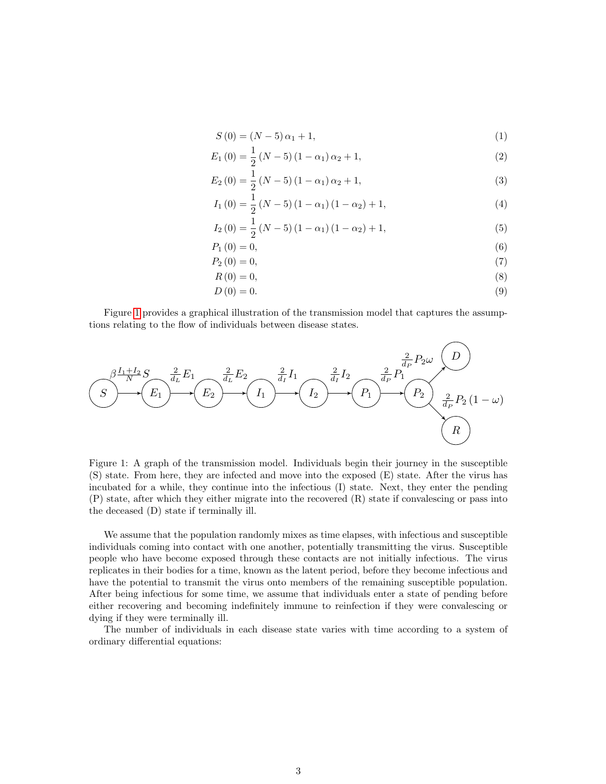$$
S(0) = (N-5)\alpha_1 + 1,\tag{1}
$$

$$
E_1(0) = \frac{1}{2}(N-5)(1-\alpha_1)\alpha_2 + 1,
$$
\n(2)

$$
E_2(0) = \frac{1}{2}(N-5)(1-\alpha_1)\alpha_2 + 1,
$$
\n(3)

$$
I_1(0) = \frac{1}{2} (N - 5) (1 - \alpha_1) (1 - \alpha_2) + 1,
$$
\n(4)

$$
I_2(0) = \frac{1}{2}(N-5)(1-\alpha_1)(1-\alpha_2) + 1,
$$
\n(5)

$$
P_1(0) = 0,\t\t(6)
$$

$$
P_2(0) = 0,\t\t(7)
$$

 $R(0) = 0,$  (8)

$$
D(0) = 0.\t\t(9)
$$

Figure [1](#page-2-0) provides a graphical illustration of the transmission model that captures the assumptions relating to the flow of individuals between disease states.



<span id="page-2-0"></span>Figure 1: A graph of the transmission model. Individuals begin their journey in the susceptible (S) state. From here, they are infected and move into the exposed (E) state. After the virus has incubated for a while, they continue into the infectious (I) state. Next, they enter the pending (P) state, after which they either migrate into the recovered (R) state if convalescing or pass into the deceased (D) state if terminally ill.

We assume that the population randomly mixes as time elapses, with infectious and susceptible individuals coming into contact with one another, potentially transmitting the virus. Susceptible people who have become exposed through these contacts are not initially infectious. The virus replicates in their bodies for a time, known as the latent period, before they become infectious and have the potential to transmit the virus onto members of the remaining susceptible population. After being infectious for some time, we assume that individuals enter a state of pending before either recovering and becoming indefinitely immune to reinfection if they were convalescing or dying if they were terminally ill.

The number of individuals in each disease state varies with time according to a system of ordinary differential equations: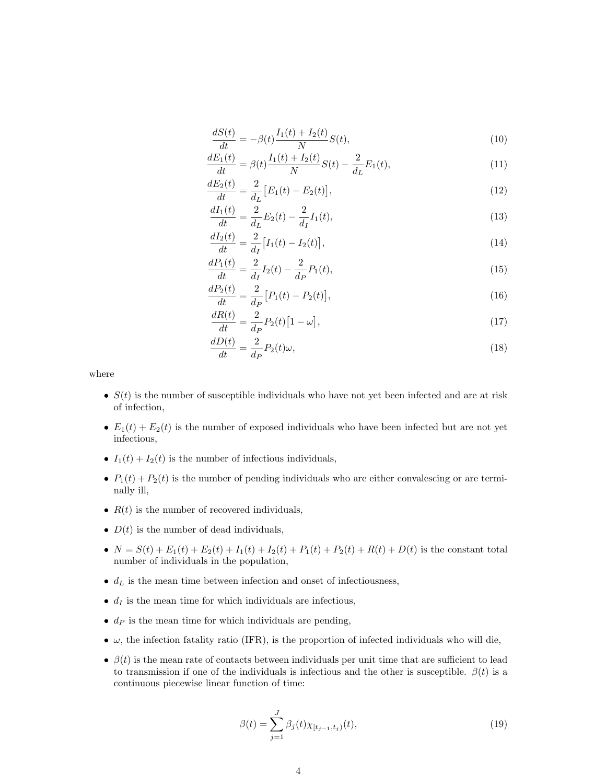<span id="page-3-0"></span>
$$
\frac{dS(t)}{dt} = -\beta(t)\frac{I_1(t) + I_2(t)}{N}S(t),
$$
\n(10)

$$
\frac{dE_1(t)}{dt} = \beta(t)\frac{I_1(t) + I_2(t)}{N}S(t) - \frac{2}{d_L}E_1(t),\tag{11}
$$

$$
\frac{dE_2(t)}{dt} = \frac{2}{d_L} [E_1(t) - E_2(t)],
$$
\n(12)

$$
\frac{dI_1(t)}{dt} = \frac{2}{d_L}E_2(t) - \frac{2}{d_I}I_1(t),\tag{13}
$$

$$
\frac{dI_2(t)}{dt} = \frac{2}{d_I} [I_1(t) - I_2(t)],
$$
\n(14)

$$
\frac{dP_1(t)}{dt} = \frac{2}{d_I}I_2(t) - \frac{2}{d_P}P_1(t),\tag{15}
$$

$$
\frac{dP_2(t)}{dt} = \frac{2}{dP} \left[ P_1(t) - P_2(t) \right],\tag{16}
$$

$$
\frac{dR(t)}{dt} = \frac{2}{d_P} P_2(t) \left[ 1 - \omega \right],\tag{17}
$$

$$
\frac{dD(t)}{dt} = \frac{2}{d_P} P_2(t)\omega,\tag{18}
$$

where

- $S(t)$  is the number of susceptible individuals who have not yet been infected and are at risk of infection,
- $E_1(t) + E_2(t)$  is the number of exposed individuals who have been infected but are not yet infectious,
- $I_1(t) + I_2(t)$  is the number of infectious individuals,
- $P_1(t) + P_2(t)$  is the number of pending individuals who are either convalescing or are terminally ill,
- $R(t)$  is the number of recovered individuals,
- $D(t)$  is the number of dead individuals,
- $N = S(t) + E_1(t) + E_2(t) + I_1(t) + I_2(t) + P_1(t) + P_2(t) + R(t) + D(t)$  is the constant total number of individuals in the population,
- $\bullet$   $d_L$  is the mean time between infection and onset of infectiousness,
- $d_I$  is the mean time for which individuals are infectious,
- $d_P$  is the mean time for which individuals are pending,
- $\omega$ , the infection fatality ratio (IFR), is the proportion of infected individuals who will die,
- $\bullet$   $\beta(t)$  is the mean rate of contacts between individuals per unit time that are sufficient to lead to transmission if one of the individuals is infectious and the other is susceptible.  $\beta(t)$  is a continuous piecewise linear function of time:

$$
\beta(t) = \sum_{j=1}^{J} \beta_j(t) \chi_{[t_{j-1}, t_j)}(t),
$$
\n(19)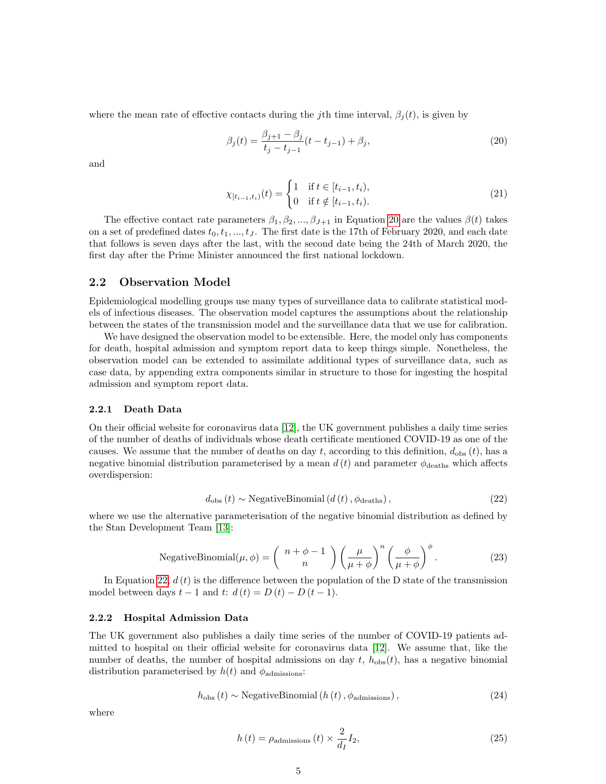where the mean rate of effective contacts during the jth time interval,  $\beta_i(t)$ , is given by

<span id="page-4-0"></span>
$$
\beta_j(t) = \frac{\beta_{j+1} - \beta_j}{t_j - t_{j-1}} (t - t_{j-1}) + \beta_j,
$$
\n(20)

and

<span id="page-4-2"></span>
$$
\chi_{[t_{i-1},t_i)}(t) = \begin{cases} 1 & \text{if } t \in [t_{i-1},t_i), \\ 0 & \text{if } t \notin [t_{i-1},t_i). \end{cases}
$$
(21)

The effective contact rate parameters  $\beta_1, \beta_2, ..., \beta_{J+1}$  in Equation [20](#page-4-0) are the values  $\beta(t)$  takes on a set of predefined dates  $t_0, t_1, ..., t_J$ . The first date is the 17th of February 2020, and each date that follows is seven days after the last, with the second date being the 24th of March 2020, the first day after the Prime Minister announced the first national lockdown.

#### <span id="page-4-3"></span>2.2 Observation Model

Epidemiological modelling groups use many types of surveillance data to calibrate statistical models of infectious diseases. The observation model captures the assumptions about the relationship between the states of the transmission model and the surveillance data that we use for calibration.

We have designed the observation model to be extensible. Here, the model only has components for death, hospital admission and symptom report data to keep things simple. Nonetheless, the observation model can be extended to assimilate additional types of surveillance data, such as case data, by appending extra components similar in structure to those for ingesting the hospital admission and symptom report data.

#### 2.2.1 Death Data

On their official website for coronavirus data [\[12\]](#page-12-7), the UK government publishes a daily time series of the number of deaths of individuals whose death certificate mentioned COVID-19 as one of the causes. We assume that the number of deaths on day t, according to this definition,  $d_{obs}(t)$ , has a negative binomial distribution parameterised by a mean  $d(t)$  and parameter  $\phi_{\text{deaths}}$  which affects overdispersion:

<span id="page-4-1"></span>
$$
d_{\text{obs}}\left(t\right) \sim \text{NegativeBinomial}\left(d\left(t\right), \phi_{\text{deaths}}\right),\tag{22}
$$

where we use the alternative parameterisation of the negative binomial distribution as defined by the Stan Development Team [\[13\]](#page-12-8):

NegativeBinomial
$$
(\mu, \phi)
$$
 =  $\left(\begin{array}{c} n+\phi-1\\ n \end{array}\right) \left(\frac{\mu}{\mu+\phi}\right)^n \left(\frac{\phi}{\mu+\phi}\right)^{\phi}.$  (23)

In Equation [22,](#page-4-1)  $d(t)$  is the difference between the population of the D state of the transmission model between days  $t - 1$  and  $t: d(t) = D(t) - D(t - 1)$ .

#### 2.2.2 Hospital Admission Data

The UK government also publishes a daily time series of the number of COVID-19 patients admitted to hospital on their official website for coronavirus data [\[12\]](#page-12-7). We assume that, like the number of deaths, the number of hospital admissions on day t,  $h_{obs}(t)$ , has a negative binomial distribution parameterised by  $h(t)$  and  $\phi_{\text{admissions}}$ :

$$
h_{\text{obs}}\left(t\right) \sim \text{NegativeBinomial}\left(h\left(t\right), \phi_{\text{admissions}}\right),\tag{24}
$$

where

$$
h(t) = \rho_{\text{admissions}}(t) \times \frac{2}{d_I} I_2,
$$
\n(25)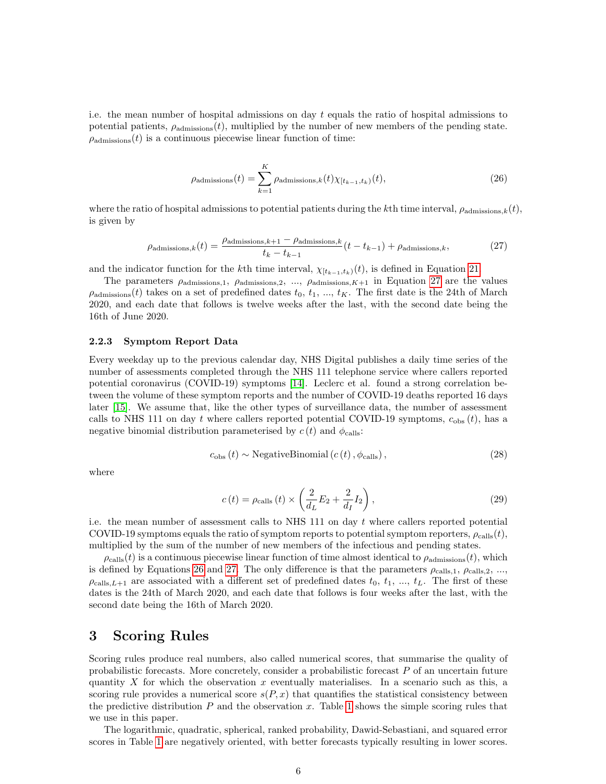i.e. the mean number of hospital admissions on day  $t$  equals the ratio of hospital admissions to potential patients,  $\rho_{\text{admissions}}(t)$ , multiplied by the number of new members of the pending state.  $\rho_{\text{admissions}}(t)$  is a continuous piecewise linear function of time:

<span id="page-5-2"></span>
$$
\rho_{\text{admissions}}(t) = \sum_{k=1}^{K} \rho_{\text{admissions},k}(t) \chi_{[t_{k-1},t_k)}(t),\tag{26}
$$

where the ratio of hospital admissions to potential patients during the kth time interval,  $\rho_{\text{admissions},k}(t)$ , is given by

<span id="page-5-1"></span>
$$
\rho_{\text{admissions},k}(t) = \frac{\rho_{\text{admissions},k+1} - \rho_{\text{admissions},k}}{t_k - t_{k-1}}(t - t_{k-1}) + \rho_{\text{admissions},k},\tag{27}
$$

and the indicator function for the kth time interval,  $\chi_{[t_{k-1},t_k)}(t)$ , is defined in Equation [21.](#page-4-2)

The parameters  $\rho_{\text{admissions},1}$ ,  $\rho_{\text{admissions},2}$ , ...,  $\rho_{\text{admissions},K+1}$  in Equation [27](#page-5-1) are the values  $\rho_{\text{admissions}}(t)$  takes on a set of predefined dates  $t_0, t_1, ..., t_K$ . The first date is the 24th of March 2020, and each date that follows is twelve weeks after the last, with the second date being the 16th of June 2020.

#### 2.2.3 Symptom Report Data

Every weekday up to the previous calendar day, NHS Digital publishes a daily time series of the number of assessments completed through the NHS 111 telephone service where callers reported potential coronavirus (COVID-19) symptoms [\[14\]](#page-12-9). Leclerc et al. found a strong correlation between the volume of these symptom reports and the number of COVID-19 deaths reported 16 days later [\[15\]](#page-12-10). We assume that, like the other types of surveillance data, the number of assessment calls to NHS 111 on day t where callers reported potential COVID-19 symptoms,  $c_{obs}(t)$ , has a negative binomial distribution parameterised by  $c(t)$  and  $\phi_{\text{calls}}$ :

$$
c_{\text{obs}}(t) \sim \text{NegativeBinomial}(c(t), \phi_{\text{calls}}), \qquad (28)
$$

where

$$
c(t) = \rho_{\text{calls}}(t) \times \left(\frac{2}{d_L}E_2 + \frac{2}{d_I}I_2\right),\tag{29}
$$

i.e. the mean number of assessment calls to NHS 111 on day t where callers reported potential COVID-19 symptoms equals the ratio of symptom reports to potential symptom reporters,  $\rho_{\text{calis}}(t)$ , multiplied by the sum of the number of new members of the infectious and pending states.

 $\rho_{\text{calls}}(t)$  is a continuous piecewise linear function of time almost identical to  $\rho_{\text{admissions}}(t)$ , which is defined by Equations [26](#page-5-2) and [27.](#page-5-1) The only difference is that the parameters  $\rho_{\text{calls},1}, \rho_{\text{calls},2}, ...,$  $\rho_{\text{calls},L+1}$  are associated with a different set of predefined dates  $t_0, t_1, ..., t_L$ . The first of these dates is the 24th of March 2020, and each date that follows is four weeks after the last, with the second date being the 16th of March 2020.

## <span id="page-5-0"></span>3 Scoring Rules

Scoring rules produce real numbers, also called numerical scores, that summarise the quality of probabilistic forecasts. More concretely, consider a probabilistic forecast  $P$  of an uncertain future quantity X for which the observation x eventually materialises. In a scenario such as this, a scoring rule provides a numerical score  $s(P, x)$  that quantifies the statistical consistency between the predictive distribution  $P$  and the observation  $x$ . Table [1](#page-6-0) shows the simple scoring rules that we use in this paper.

The logarithmic, quadratic, spherical, ranked probability, Dawid-Sebastiani, and squared error scores in Table [1](#page-6-0) are negatively oriented, with better forecasts typically resulting in lower scores.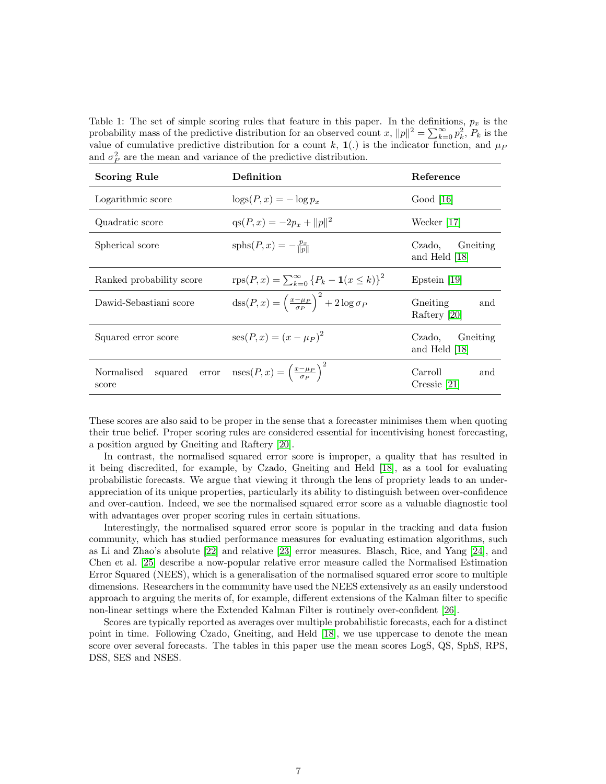<span id="page-6-0"></span>Table 1: The set of simple scoring rules that feature in this paper. In the definitions,  $p_x$  is the probability mass of the predictive distribution for an observed count x,  $||p||^2 = \sum_{k=0}^{\infty} p_k^2$ ,  $P_k$  is the value of cumulative predictive distribution for a count k,  $\mathbf{1}(.)$  is the indicator function, and  $\mu_P$ and  $\sigma_P^2$  are the mean and variance of the predictive distribution.

| <b>Scoring Rule</b>      | <b>Definition</b>                                                                   | Reference                           |  |  |
|--------------------------|-------------------------------------------------------------------------------------|-------------------------------------|--|--|
| Logarithmic score        | $\log(S(P, x) = -\log p_x)$                                                         | Good $[16]$                         |  |  |
| Quadratic score          | $\operatorname{qs}(P, x) = -2p_x +   p  ^2$                                         | Wecker $ 17 $                       |  |  |
| Spherical score          | $sphs(P, x) = -\frac{p_x}{\ p\ }$                                                   | Czado.<br>Gneiting<br>and Held [18] |  |  |
| Ranked probability score | $rps(P, x) = \sum_{k=0}^{\infty} {P_k - 1(x \le k)}^2$                              | Epstein $[19]$                      |  |  |
| Dawid-Sebastiani score   | $\mathrm{dss}(P,x)=\left(\frac{x-\mu_P}{\sigma_P}\right)^2+2\log\sigma_P$           | Gneiting<br>and<br>Raftery [20]     |  |  |
| Squared error score      | $\text{ses}(P, x) = (x - \mu_P)^2$                                                  | Czado.<br>Gneiting<br>and Held [18] |  |  |
| Normalised<br>score      | squared error $\operatorname{nses}(P, x) = \left(\frac{x-\mu_P}{\sigma_P}\right)^2$ | Carroll<br>and<br>Cressie $[21]$    |  |  |

These scores are also said to be proper in the sense that a forecaster minimises them when quoting their true belief. Proper scoring rules are considered essential for incentivising honest forecasting, a position argued by Gneiting and Raftery [\[20\]](#page-12-15).

In contrast, the normalised squared error score is improper, a quality that has resulted in it being discredited, for example, by Czado, Gneiting and Held [\[18\]](#page-12-13), as a tool for evaluating probabilistic forecasts. We argue that viewing it through the lens of propriety leads to an underappreciation of its unique properties, particularly its ability to distinguish between over-confidence and over-caution. Indeed, we see the normalised squared error score as a valuable diagnostic tool with advantages over proper scoring rules in certain situations.

Interestingly, the normalised squared error score is popular in the tracking and data fusion community, which has studied performance measures for evaluating estimation algorithms, such as Li and Zhao's absolute [\[22\]](#page-13-0) and relative [\[23\]](#page-13-1) error measures. Blasch, Rice, and Yang [\[24\]](#page-13-2), and Chen et al. [\[25\]](#page-13-3) describe a now-popular relative error measure called the Normalised Estimation Error Squared (NEES), which is a generalisation of the normalised squared error score to multiple dimensions. Researchers in the community have used the NEES extensively as an easily understood approach to arguing the merits of, for example, different extensions of the Kalman filter to specific non-linear settings where the Extended Kalman Filter is routinely over-confident [\[26\]](#page-13-4).

Scores are typically reported as averages over multiple probabilistic forecasts, each for a distinct point in time. Following Czado, Gneiting, and Held [\[18\]](#page-12-13), we use uppercase to denote the mean score over several forecasts. The tables in this paper use the mean scores LogS, QS, SphS, RPS, DSS, SES and NSES.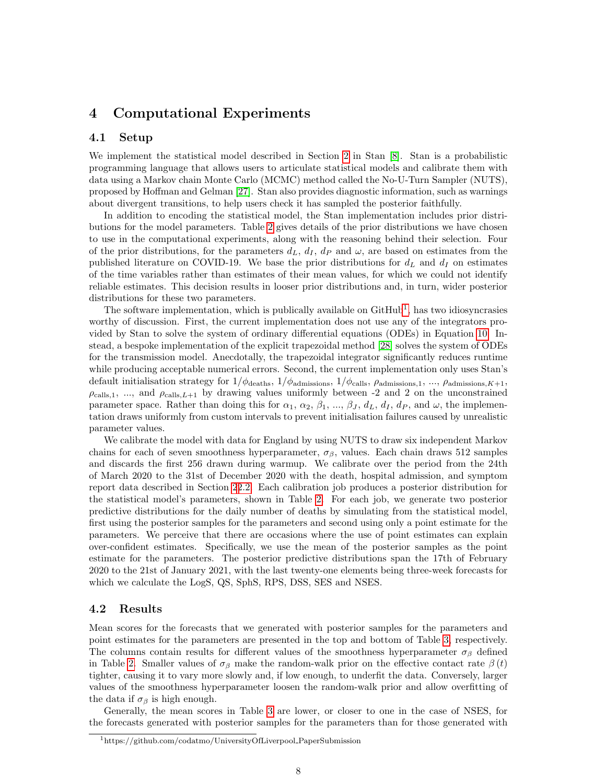## <span id="page-7-0"></span>4 Computational Experiments

### 4.1 Setup

We implement the statistical model described in Section [2](#page-0-0) in Stan [\[8\]](#page-12-3). Stan is a probabilistic programming language that allows users to articulate statistical models and calibrate them with data using a Markov chain Monte Carlo (MCMC) method called the No-U-Turn Sampler (NUTS), proposed by Hoffman and Gelman [\[27\]](#page-13-5). Stan also provides diagnostic information, such as warnings about divergent transitions, to help users check it has sampled the posterior faithfully.

In addition to encoding the statistical model, the Stan implementation includes prior distributions for the model parameters. Table [2](#page-8-0) gives details of the prior distributions we have chosen to use in the computational experiments, along with the reasoning behind their selection. Four of the prior distributions, for the parameters  $d_L$ ,  $d_L$ ,  $d_P$  and  $\omega$ , are based on estimates from the published literature on COVID-19. We base the prior distributions for  $d<sub>L</sub>$  and  $d<sub>I</sub>$  on estimates of the time variables rather than estimates of their mean values, for which we could not identify reliable estimates. This decision results in looser prior distributions and, in turn, wider posterior distributions for these two parameters.

The software implementation, which is publically available on  $\text{GitHub}^1$  $\text{GitHub}^1$ , has two idiosyncrasies worthy of discussion. First, the current implementation does not use any of the integrators provided by Stan to solve the system of ordinary differential equations (ODEs) in Equation [10.](#page-3-0) Instead, a bespoke implementation of the explicit trapezoidal method [\[28\]](#page-13-6) solves the system of ODEs for the transmission model. Anecdotally, the trapezoidal integrator significantly reduces runtime while producing acceptable numerical errors. Second, the current implementation only uses Stan's default initialisation strategy for  $1/\phi_{\text{deaths}}$ ,  $1/\phi_{\text{admissions}}$ ,  $1/\phi_{\text{calls}}$ ,  $\rho_{\text{admissions},1}$ , ...,  $\rho_{\text{admissions},K+1}$ ,  $\rho_{\text{calls},1}$ , ..., and  $\rho_{\text{calls},L+1}$  by drawing values uniformly between -2 and 2 on the unconstrained parameter space. Rather than doing this for  $\alpha_1, \alpha_2, \beta_1, ..., \beta_J, d_L, d_I, d_P$ , and  $\omega$ , the implementation draws uniformly from custom intervals to prevent initialisation failures caused by unrealistic parameter values.

We calibrate the model with data for England by using NUTS to draw six independent Markov chains for each of seven smoothness hyperparameter,  $\sigma_{\beta}$ , values. Each chain draws 512 samples and discards the first 256 drawn during warmup. We calibrate over the period from the 24th of March 2020 to the 31st of December 2020 with the death, hospital admission, and symptom report data described in Section [2](#page-0-0)[2.2.](#page-4-3) Each calibration job produces a posterior distribution for the statistical model's parameters, shown in Table [2.](#page-8-0) For each job, we generate two posterior predictive distributions for the daily number of deaths by simulating from the statistical model, first using the posterior samples for the parameters and second using only a point estimate for the parameters. We perceive that there are occasions where the use of point estimates can explain over-confident estimates. Specifically, we use the mean of the posterior samples as the point estimate for the parameters. The posterior predictive distributions span the 17th of February 2020 to the 21st of January 2021, with the last twenty-one elements being three-week forecasts for which we calculate the LogS, QS, SphS, RPS, DSS, SES and NSES.

### 4.2 Results

Mean scores for the forecasts that we generated with posterior samples for the parameters and point estimates for the parameters are presented in the top and bottom of Table [3,](#page-8-1) respectively. The columns contain results for different values of the smoothness hyperparameter  $\sigma_\beta$  defined in Table [2.](#page-8-0) Smaller values of  $\sigma_\beta$  make the random-walk prior on the effective contact rate  $\beta(t)$ tighter, causing it to vary more slowly and, if low enough, to underfit the data. Conversely, larger values of the smoothness hyperparameter loosen the random-walk prior and allow overfitting of the data if  $\sigma_{\beta}$  is high enough.

Generally, the mean scores in Table [3](#page-8-1) are lower, or closer to one in the case of NSES, for the forecasts generated with posterior samples for the parameters than for those generated with

<span id="page-7-1"></span><sup>&</sup>lt;sup>1</sup>https://github.com/codatmo/UniversityOfLiverpool\_PaperSubmission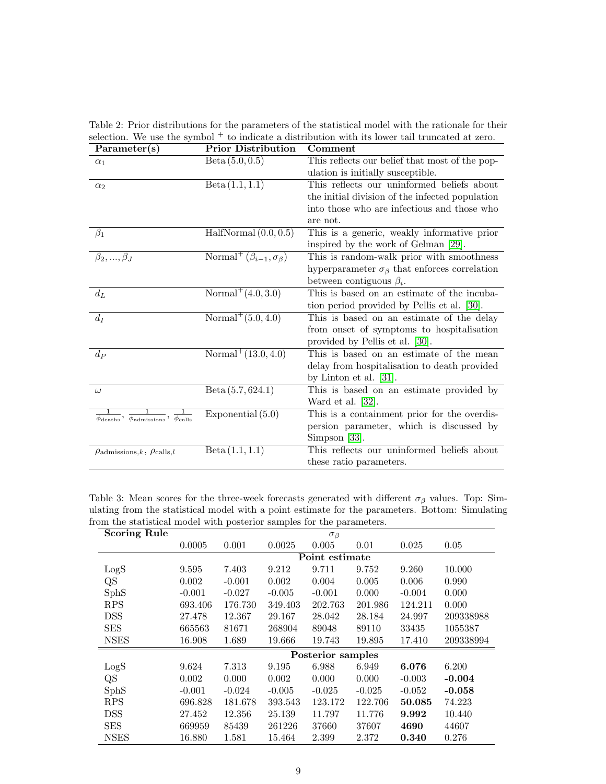| Parameter(s)                                                                                                                  | <b>Prior Distribution</b>                           | Comment                                                   |
|-------------------------------------------------------------------------------------------------------------------------------|-----------------------------------------------------|-----------------------------------------------------------|
| $\alpha_1$                                                                                                                    | Beta $(5.0, 0.5)$                                   | This reflects our belief that most of the pop-            |
|                                                                                                                               |                                                     | ulation is initially susceptible.                         |
| $\alpha_2$                                                                                                                    | Beta(1.1, 1.1)                                      | This reflects our uninformed beliefs about                |
|                                                                                                                               |                                                     | the initial division of the infected population           |
|                                                                                                                               |                                                     | into those who are infectious and those who               |
|                                                                                                                               |                                                     | are not.                                                  |
| $\beta_1$                                                                                                                     | HalfNormal $(0.0, 0.5)$                             | This is a generic, weakly informative prior               |
|                                                                                                                               |                                                     | inspired by the work of Gelman [29].                      |
| $\beta_2, , \beta_J$                                                                                                          | Normal <sup>+</sup> $(\beta_{i-1}, \sigma_{\beta})$ | This is random-walk prior with smoothness                 |
|                                                                                                                               |                                                     | hyperparameter $\sigma_{\beta}$ that enforces correlation |
|                                                                                                                               |                                                     | between contiguous $\beta_i$ .                            |
| $d_L$                                                                                                                         | Normal <sup>+</sup> $(4.0, 3.0)$                    | This is based on an estimate of the incuba-               |
|                                                                                                                               |                                                     | tion period provided by Pellis et al. [30].               |
| $\overline{d_I}$                                                                                                              | Normal <sup>+</sup> $(5.0, 4.0)$                    | This is based on an estimate of the delay                 |
|                                                                                                                               |                                                     | from onset of symptoms to hospitalisation                 |
|                                                                                                                               |                                                     | provided by Pellis et al. [30].                           |
| $d_P$                                                                                                                         | Normal <sup>+</sup> $(13.0, 4.0)$                   | This is based on an estimate of the mean                  |
|                                                                                                                               |                                                     | delay from hospitalisation to death provided              |
|                                                                                                                               |                                                     | by Linton et al. $[31]$ .                                 |
| $\omega$                                                                                                                      | Beta(5.7, 624.1)                                    | This is based on an estimate provided by                  |
|                                                                                                                               |                                                     | Ward et al. [32].                                         |
| Exponential $(5.0)$<br>$\overline{\phi_{\text{deaths}}}, \overline{\phi_{\text{admissions}}}, \overline{\phi_{\text{calls}}}$ |                                                     | This is a containment prior for the overdis-              |
|                                                                                                                               |                                                     | persion parameter, which is discussed by                  |
|                                                                                                                               |                                                     | $Simpson$ [33].                                           |
| $\rho_{\text{admissions},k}, \rho_{\text{cells},l}$                                                                           | Beta(1.1, 1.1)                                      | This reflects our uninformed beliefs about                |
|                                                                                                                               |                                                     | these ratio parameters.                                   |

<span id="page-8-0"></span>Table 2: Prior distributions for the parameters of the statistical model with the rationale for their selection. We use the symbol  $^+$  to indicate a distribution with its lower tail truncated at zero.

<span id="page-8-1"></span>Table 3: Mean scores for the three-week forecasts generated with different  $\sigma_{\beta}$  values. Top: Simulating from the statistical model with a point estimate for the parameters. Bottom: Simulating from the statistical model with posterior samples for the parameters.

| <b>Scoring Rule</b> |          |                   |          | $\sigma_{\beta}$ |          |          |           |  |  |
|---------------------|----------|-------------------|----------|------------------|----------|----------|-----------|--|--|
|                     | 0.0005   | 0.001             | 0.0025   | 0.005            | 0.01     | 0.025    | 0.05      |  |  |
|                     |          | Point estimate    |          |                  |          |          |           |  |  |
| LogS                | 9.595    | 7.403             | 9.212    | 9.711            | 9.752    | 9.260    | 10.000    |  |  |
| QS                  | 0.002    | $-0.001$          | 0.002    | 0.004            | 0.005    | 0.006    | 0.990     |  |  |
| <b>SphS</b>         | $-0.001$ | $-0.027$          | $-0.005$ | $-0.001$         | 0.000    | $-0.004$ | 0.000     |  |  |
| <b>RPS</b>          | 693.406  | 176.730           | 349.403  | 202.763          | 201.986  | 124.211  | 0.000     |  |  |
| <b>DSS</b>          | 27.478   | 12.367            | 29.167   | 28.042           | 28.184   | 24.997   | 209338988 |  |  |
| <b>SES</b>          | 665563   | 81671             | 268904   | 89048            | 89110    | 33435    | 1055387   |  |  |
| <b>NSES</b>         | 16.908   | 1.689             | 19.666   | 19.743           | 19.895   | 17.410   | 209338994 |  |  |
|                     |          | Posterior samples |          |                  |          |          |           |  |  |
| LogS                | 9.624    | 7.313             | 9.195    | 6.988            | 6.949    | 6.076    | 6.200     |  |  |
| QS                  | 0.002    | 0.000             | 0.002    | 0.000            | 0.000    | $-0.003$ | $-0.004$  |  |  |
| <b>SphS</b>         | $-0.001$ | $-0.024$          | $-0.005$ | $-0.025$         | $-0.025$ | $-0.052$ | $-0.058$  |  |  |
| <b>RPS</b>          | 696.828  | 181.678           | 393.543  | 123.172          | 122.706  | 50.085   | 74.223    |  |  |
| <b>DSS</b>          | 27.452   | 12.356            | 25.139   | 11.797           | 11.776   | 9.992    | 10.440    |  |  |
| <b>SES</b>          | 669959   | 85439             | 261226   | 37660            | 37607    | 4690     | 44607     |  |  |
| <b>NSES</b>         | 16.880   | 1.581             | 15.464   | 2.399            | 2.372    | 0.340    | 0.276     |  |  |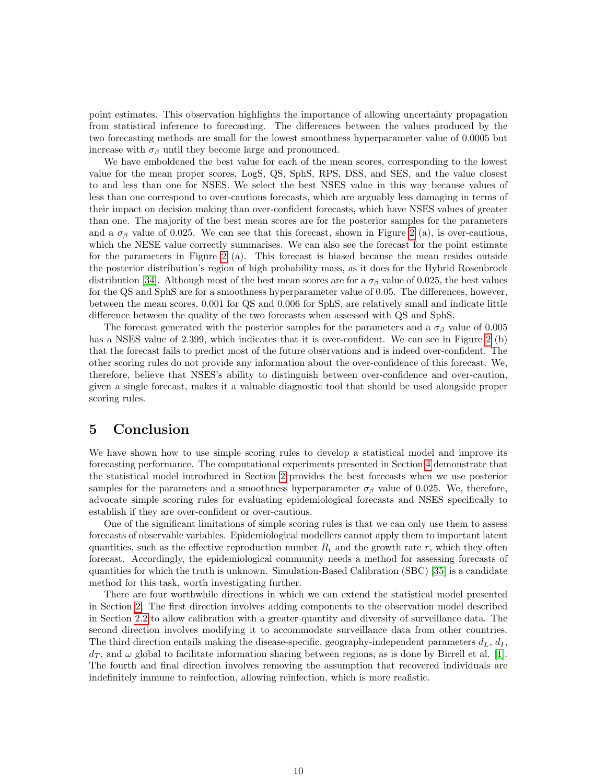point estimates. This observation highlights the importance of allowing uncertainty propagation from statistical inference to forecasting. The differences between the values produced by the two forecasting methods are small for the lowest smoothness hyperparameter value of 0.0005 but increase with  $\sigma_{\beta}$  until they become large and pronounced.

We have emboldened the best value for each of the mean scores, corresponding to the lowest value for the mean proper scores, LogS, QS, SphS, RPS, DSS, and SES, and the value closest to and less than one for NSES. We select the best NSES value in this way because values of less than one correspond to over-cautious forecasts, which are arguably less damaging in terms of their impact on decision making than over-confident forecasts, which have NSES values of greater than one. The majority of the best mean scores are for the posterior samples for the parameters and a  $\sigma_{\beta}$  value of 0.025. We can see that this forecast, shown in Figure [2](#page-10-0) (a), is over-cautious, which the NESE value correctly summarises. We can also see the forecast for the point estimate for the parameters in Figure [2](#page-10-0) (a). This forecast is biased because the mean resides outside the posterior distribution's region of high probability mass, as it does for the Hybrid Rosenbrock distribution [\[34\]](#page-13-12). Although most of the best mean scores are for a  $\sigma_\beta$  value of 0.025, the best values for the QS and SphS are for a smoothness hyperparameter value of 0.05. The differences, however, between the mean scores, 0.001 for QS and 0.006 for SphS, are relatively small and indicate little difference between the quality of the two forecasts when assessed with QS and SphS.

The forecast generated with the posterior samples for the parameters and a  $\sigma_\beta$  value of 0.005 has a NSES value of [2](#page-10-0).399, which indicates that it is over-confident. We can see in Figure 2 (b) that the forecast fails to predict most of the future observations and is indeed over-confident. The other scoring rules do not provide any information about the over-confidence of this forecast. We, therefore, believe that NSES's ability to distinguish between over-confidence and over-caution, given a single forecast, makes it a valuable diagnostic tool that should be used alongside proper scoring rules.

## <span id="page-9-0"></span>5 Conclusion

We have shown how to use simple scoring rules to develop a statistical model and improve its forecasting performance. The computational experiments presented in Section [4](#page-7-0) demonstrate that the statistical model introduced in Section [2](#page-0-0) provides the best forecasts when we use posterior samples for the parameters and a smoothness hyperparameter  $\sigma_{\beta}$  value of 0.025. We, therefore, advocate simple scoring rules for evaluating epidemiological forecasts and NSES specifically to establish if they are over-confident or over-cautious.

One of the significant limitations of simple scoring rules is that we can only use them to assess forecasts of observable variables. Epidemiological modellers cannot apply them to important latent quantities, such as the effective reproduction number  $R_t$  and the growth rate r, which they often forecast. Accordingly, the epidemiological community needs a method for assessing forecasts of quantities for which the truth is unknown. Simulation-Based Calibration (SBC) [\[35\]](#page-13-13) is a candidate method for this task, worth investigating further.

There are four worthwhile directions in which we can extend the statistical model presented in Section [2.](#page-0-0) The first direction involves adding components to the observation model described in Section [2.2](#page-4-3) to allow calibration with a greater quantity and diversity of surveillance data. The second direction involves modifying it to accommodate surveillance data from other countries. The third direction entails making the disease-specific, geography-independent parameters  $d_L$ ,  $d_I$ ,  $d_T$ , and  $\omega$  global to facilitate information sharing between regions, as is done by Birrell et al. [\[1\]](#page-11-0). The fourth and final direction involves removing the assumption that recovered individuals are indefinitely immune to reinfection, allowing reinfection, which is more realistic.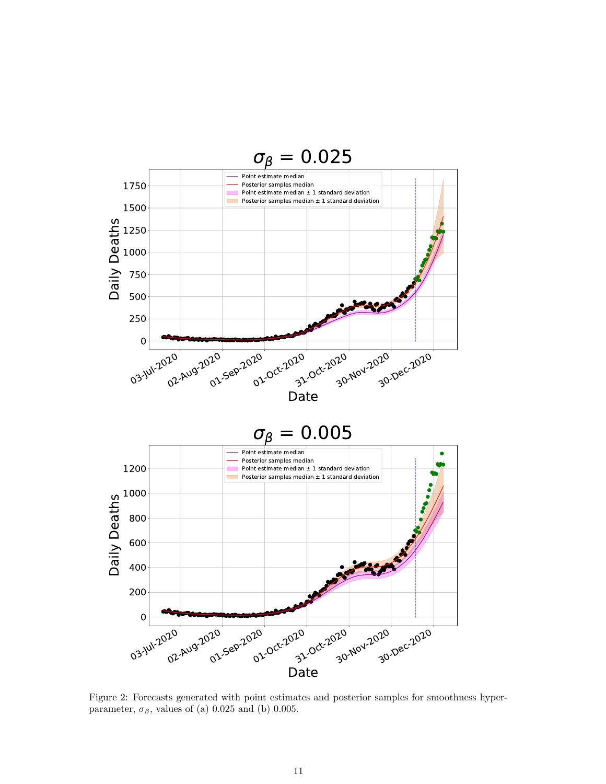

<span id="page-10-0"></span>Figure 2: Forecasts generated with point estimates and posterior samples for smoothness hyperparameter,  $\sigma_{\beta}$ , values of (a) 0.025 and (b) 0.005.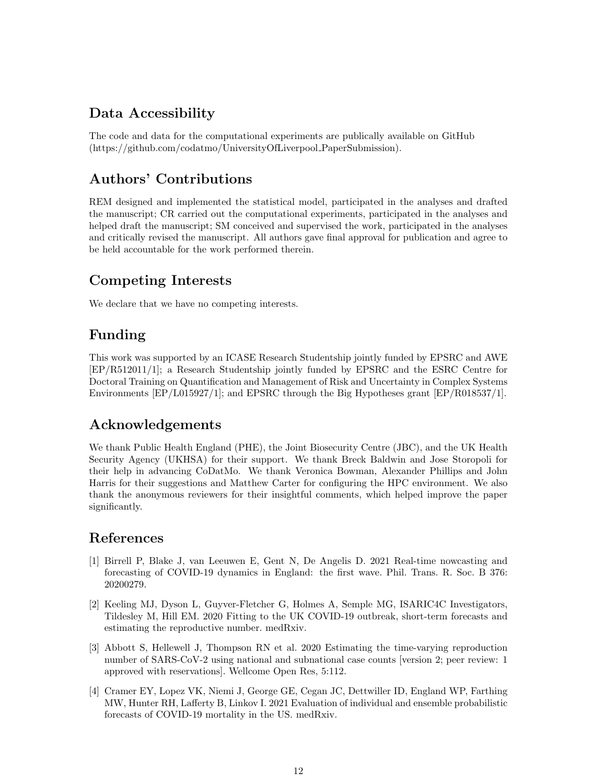# Data Accessibility

The code and data for the computational experiments are publically available on GitHub (https://github.com/codatmo/UniversityOfLiverpool PaperSubmission).

# Authors' Contributions

REM designed and implemented the statistical model, participated in the analyses and drafted the manuscript; CR carried out the computational experiments, participated in the analyses and helped draft the manuscript; SM conceived and supervised the work, participated in the analyses and critically revised the manuscript. All authors gave final approval for publication and agree to be held accountable for the work performed therein.

## Competing Interests

We declare that we have no competing interests.

# Funding

This work was supported by an ICASE Research Studentship jointly funded by EPSRC and AWE [EP/R512011/1]; a Research Studentship jointly funded by EPSRC and the ESRC Centre for Doctoral Training on Quantification and Management of Risk and Uncertainty in Complex Systems Environments [EP/L015927/1]; and EPSRC through the Big Hypotheses grant [EP/R018537/1].

# Acknowledgements

We thank Public Health England (PHE), the Joint Biosecurity Centre (JBC), and the UK Health Security Agency (UKHSA) for their support. We thank Breck Baldwin and Jose Storopoli for their help in advancing CoDatMo. We thank Veronica Bowman, Alexander Phillips and John Harris for their suggestions and Matthew Carter for configuring the HPC environment. We also thank the anonymous reviewers for their insightful comments, which helped improve the paper significantly.

# References

- <span id="page-11-0"></span>[1] Birrell P, Blake J, van Leeuwen E, Gent N, De Angelis D. 2021 Real-time nowcasting and forecasting of COVID-19 dynamics in England: the first wave. Phil. Trans. R. Soc. B 376: 20200279.
- <span id="page-11-1"></span>[2] Keeling MJ, Dyson L, Guyver-Fletcher G, Holmes A, Semple MG, ISARIC4C Investigators, Tildesley M, Hill EM. 2020 Fitting to the UK COVID-19 outbreak, short-term forecasts and estimating the reproductive number. medRxiv.
- <span id="page-11-2"></span>[3] Abbott S, Hellewell J, Thompson RN et al. 2020 Estimating the time-varying reproduction number of SARS-CoV-2 using national and subnational case counts [version 2; peer review: 1 approved with reservations]. Wellcome Open Res, 5:112.
- <span id="page-11-3"></span>[4] Cramer EY, Lopez VK, Niemi J, George GE, Cegan JC, Dettwiller ID, England WP, Farthing MW, Hunter RH, Lafferty B, Linkov I. 2021 Evaluation of individual and ensemble probabilistic forecasts of COVID-19 mortality in the US. medRxiv.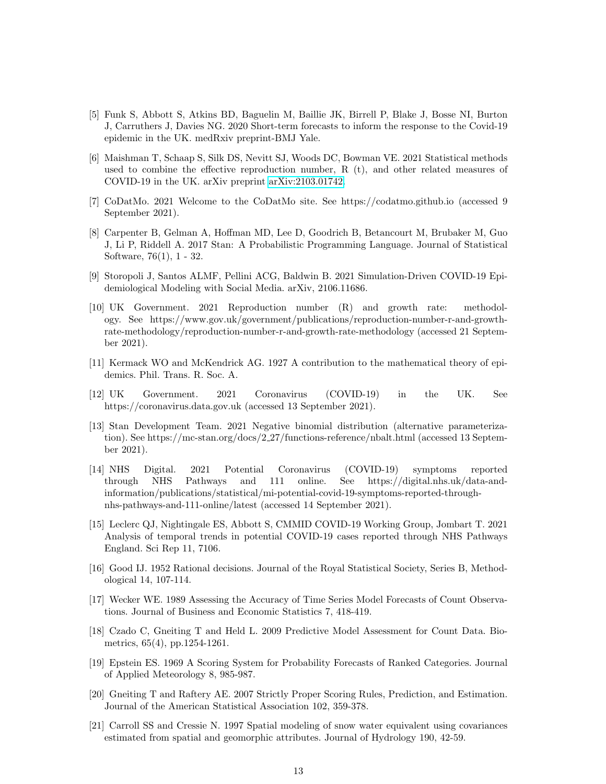- <span id="page-12-0"></span>[5] Funk S, Abbott S, Atkins BD, Baguelin M, Baillie JK, Birrell P, Blake J, Bosse NI, Burton J, Carruthers J, Davies NG. 2020 Short-term forecasts to inform the response to the Covid-19 epidemic in the UK. medRxiv preprint-BMJ Yale.
- <span id="page-12-1"></span>[6] Maishman T, Schaap S, Silk DS, Nevitt SJ, Woods DC, Bowman VE. 2021 Statistical methods used to combine the effective reproduction number,  $R(t)$ , and other related measures of COVID-19 in the UK. arXiv preprint [arXiv:2103.01742.](http://arxiv.org/abs/2103.01742)
- <span id="page-12-2"></span>[7] CoDatMo. 2021 Welcome to the CoDatMo site. See https://codatmo.github.io (accessed 9 September 2021).
- <span id="page-12-3"></span>[8] Carpenter B, Gelman A, Hoffman MD, Lee D, Goodrich B, Betancourt M, Brubaker M, Guo J, Li P, Riddell A. 2017 Stan: A Probabilistic Programming Language. Journal of Statistical Software, 76(1), 1 - 32.
- <span id="page-12-4"></span>[9] Storopoli J, Santos ALMF, Pellini ACG, Baldwin B. 2021 Simulation-Driven COVID-19 Epidemiological Modeling with Social Media. arXiv, 2106.11686.
- <span id="page-12-5"></span>[10] UK Government. 2021 Reproduction number (R) and growth rate: methodology. See https://www.gov.uk/government/publications/reproduction-number-r-and-growthrate-methodology/reproduction-number-r-and-growth-rate-methodology (accessed 21 September 2021).
- <span id="page-12-6"></span>[11] Kermack WO and McKendrick AG. 1927 A contribution to the mathematical theory of epidemics. Phil. Trans. R. Soc. A.
- <span id="page-12-7"></span>[12] UK Government. 2021 Coronavirus (COVID-19) in the UK. See https://coronavirus.data.gov.uk (accessed 13 September 2021).
- <span id="page-12-8"></span>[13] Stan Development Team. 2021 Negative binomial distribution (alternative parameterization). See https://mc-stan.org/docs/2 27/functions-reference/nbalt.html (accessed 13 September 2021).
- <span id="page-12-9"></span>[14] NHS Digital. 2021 Potential Coronavirus (COVID-19) symptoms reported through NHS Pathways and 111 online. See https://digital.nhs.uk/data-andinformation/publications/statistical/mi-potential-covid-19-symptoms-reported-throughnhs-pathways-and-111-online/latest (accessed 14 September 2021).
- <span id="page-12-10"></span>[15] Leclerc QJ, Nightingale ES, Abbott S, CMMID COVID-19 Working Group, Jombart T. 2021 Analysis of temporal trends in potential COVID-19 cases reported through NHS Pathways England. Sci Rep 11, 7106.
- <span id="page-12-11"></span>[16] Good IJ. 1952 Rational decisions. Journal of the Royal Statistical Society, Series B, Methodological 14, 107-114.
- <span id="page-12-12"></span>[17] Wecker WE. 1989 Assessing the Accuracy of Time Series Model Forecasts of Count Observations. Journal of Business and Economic Statistics 7, 418-419.
- <span id="page-12-13"></span>[18] Czado C, Gneiting T and Held L. 2009 Predictive Model Assessment for Count Data. Biometrics, 65(4), pp.1254-1261.
- <span id="page-12-14"></span>[19] Epstein ES. 1969 A Scoring System for Probability Forecasts of Ranked Categories. Journal of Applied Meteorology 8, 985-987.
- <span id="page-12-15"></span>[20] Gneiting T and Raftery AE. 2007 Strictly Proper Scoring Rules, Prediction, and Estimation. Journal of the American Statistical Association 102, 359-378.
- <span id="page-12-16"></span>[21] Carroll SS and Cressie N. 1997 Spatial modeling of snow water equivalent using covariances estimated from spatial and geomorphic attributes. Journal of Hydrology 190, 42-59.